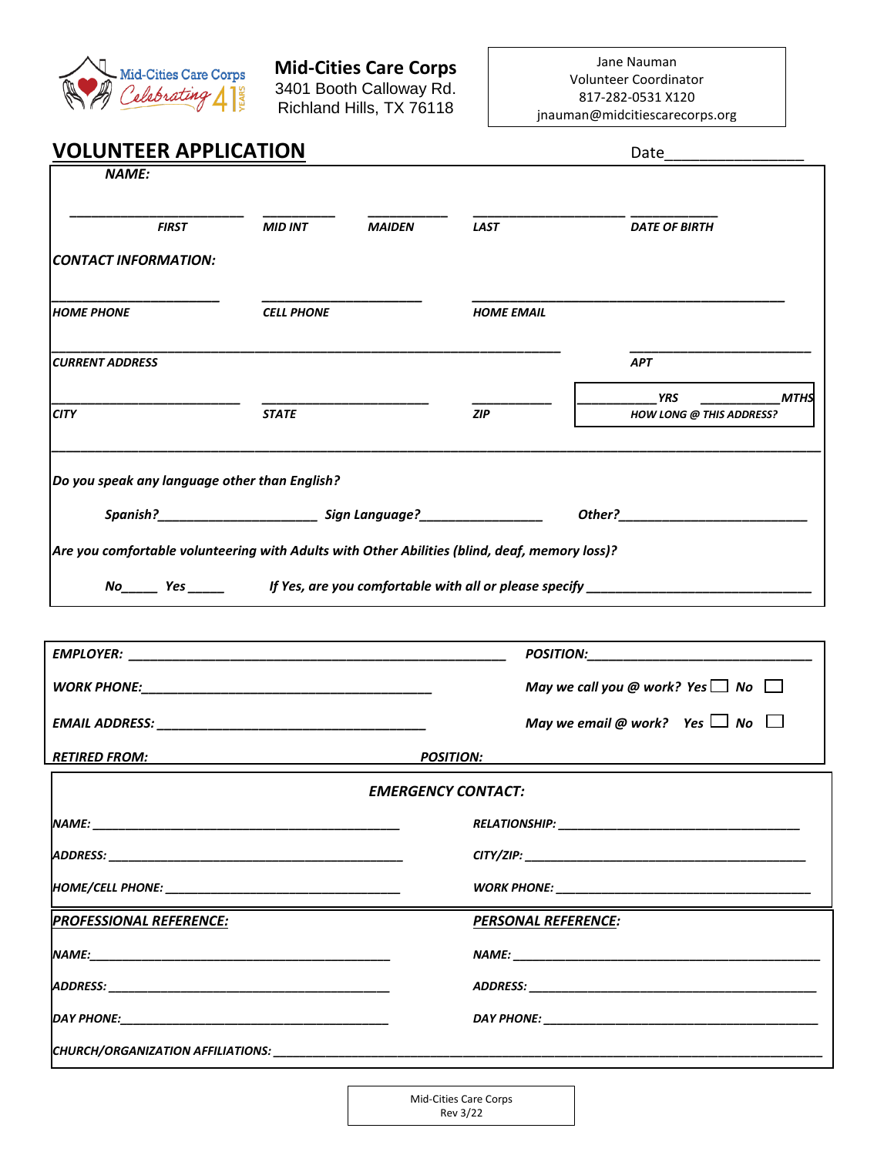

#### **Mid-Cities Care Corps** 3401 Booth Calloway Rd. Richland Hills, TX 76118

Jane Nauman Volunteer Coordinator 817-282-0531 X120 jnauman@midcitiescarecorps.org

# **VOLUNTEER APPLICATION** Date

| <b>NAME:</b>                                                                                      |                   |                                                                                                                                                                                                                                     |                                                                                                                                                                                                                                |                                                                                                                                                                                                                                |  |
|---------------------------------------------------------------------------------------------------|-------------------|-------------------------------------------------------------------------------------------------------------------------------------------------------------------------------------------------------------------------------------|--------------------------------------------------------------------------------------------------------------------------------------------------------------------------------------------------------------------------------|--------------------------------------------------------------------------------------------------------------------------------------------------------------------------------------------------------------------------------|--|
| <b>FIRST</b>                                                                                      | <b>MID INT</b>    | <b>MAIDEN</b>                                                                                                                                                                                                                       | <b>LAST</b>                                                                                                                                                                                                                    | <b>DATE OF BIRTH</b>                                                                                                                                                                                                           |  |
| CONTACT INFORMATION:                                                                              |                   |                                                                                                                                                                                                                                     |                                                                                                                                                                                                                                |                                                                                                                                                                                                                                |  |
| Іномє рномє                                                                                       | <b>CELL PHONE</b> |                                                                                                                                                                                                                                     | <b>HOME EMAIL</b>                                                                                                                                                                                                              |                                                                                                                                                                                                                                |  |
| <b>CURRENT ADDRESS</b>                                                                            |                   |                                                                                                                                                                                                                                     |                                                                                                                                                                                                                                | <b>APT</b>                                                                                                                                                                                                                     |  |
| <b>CITY</b>                                                                                       | <b>STATE</b>      |                                                                                                                                                                                                                                     | <b>ZIP</b>                                                                                                                                                                                                                     | YRS<br><b>MTHS</b><br><b>HOW LONG @ THIS ADDRESS?</b>                                                                                                                                                                          |  |
| $ $ Do you speak any language other than English?                                                 |                   |                                                                                                                                                                                                                                     |                                                                                                                                                                                                                                |                                                                                                                                                                                                                                |  |
|                                                                                                   |                   |                                                                                                                                                                                                                                     |                                                                                                                                                                                                                                | Other? Production of the contract of the contract of the contract of the contract of the contract of the contract of the contract of the contract of the contract of the contract of the contract of the contract of the contr |  |
| $ $ Are you comfortable volunteering with Adults with Other Abilities (blind, deaf, memory loss)? |                   |                                                                                                                                                                                                                                     |                                                                                                                                                                                                                                |                                                                                                                                                                                                                                |  |
|                                                                                                   |                   |                                                                                                                                                                                                                                     |                                                                                                                                                                                                                                | No Yes Yes Month of Yes, are you comfortable with all or please specify North Community Manuscription of the N                                                                                                                 |  |
|                                                                                                   |                   |                                                                                                                                                                                                                                     |                                                                                                                                                                                                                                | POSITION: POSITION:                                                                                                                                                                                                            |  |
|                                                                                                   |                   |                                                                                                                                                                                                                                     |                                                                                                                                                                                                                                | May we call you @ work? Yes $\Box$ No $\Box$                                                                                                                                                                                   |  |
|                                                                                                   |                   |                                                                                                                                                                                                                                     |                                                                                                                                                                                                                                |                                                                                                                                                                                                                                |  |
|                                                                                                   |                   |                                                                                                                                                                                                                                     |                                                                                                                                                                                                                                | May we email @ work? Yes $\Box$ No $\Box$                                                                                                                                                                                      |  |
| <b>RETIRED FROM:</b>                                                                              |                   |                                                                                                                                                                                                                                     | <b>POSITION:</b>                                                                                                                                                                                                               |                                                                                                                                                                                                                                |  |
|                                                                                                   |                   |                                                                                                                                                                                                                                     | <b>EMERGENCY CONTACT:</b>                                                                                                                                                                                                      |                                                                                                                                                                                                                                |  |
| NAME:                                                                                             |                   | <b>RELATIONSHIP:</b> the contract of the contract of the contract of the contract of the contract of the contract of the contract of the contract of the contract of the contract of the contract of the contract of the contract o |                                                                                                                                                                                                                                |                                                                                                                                                                                                                                |  |
|                                                                                                   |                   |                                                                                                                                                                                                                                     | CITY/ZIP: A CITY/ZIP: A CITY/ZIP: A CITY/ZIP: A CITY/ZIP: A CITY/ZIP: A CITY/ZIP: A CITY OF CITY OF CITY OF CITY                                                                                                               |                                                                                                                                                                                                                                |  |
|                                                                                                   |                   |                                                                                                                                                                                                                                     |                                                                                                                                                                                                                                |                                                                                                                                                                                                                                |  |
| <b>PROFESSIONAL REFERENCE:</b>                                                                    |                   |                                                                                                                                                                                                                                     | <b>PERSONAL REFERENCE:</b>                                                                                                                                                                                                     |                                                                                                                                                                                                                                |  |
|                                                                                                   |                   |                                                                                                                                                                                                                                     |                                                                                                                                                                                                                                |                                                                                                                                                                                                                                |  |
|                                                                                                   |                   |                                                                                                                                                                                                                                     | ADDRESS: And the state of the state of the state of the state of the state of the state of the state of the state of the state of the state of the state of the state of the state of the state of the state of the state of t |                                                                                                                                                                                                                                |  |

|  | :HURCH/ORGANIZATION AFFILIATIONS: |  |
|--|-----------------------------------|--|
|--|-----------------------------------|--|

| Mid-Cities Care Corps |  |  |
|-----------------------|--|--|
| Rev 3/22              |  |  |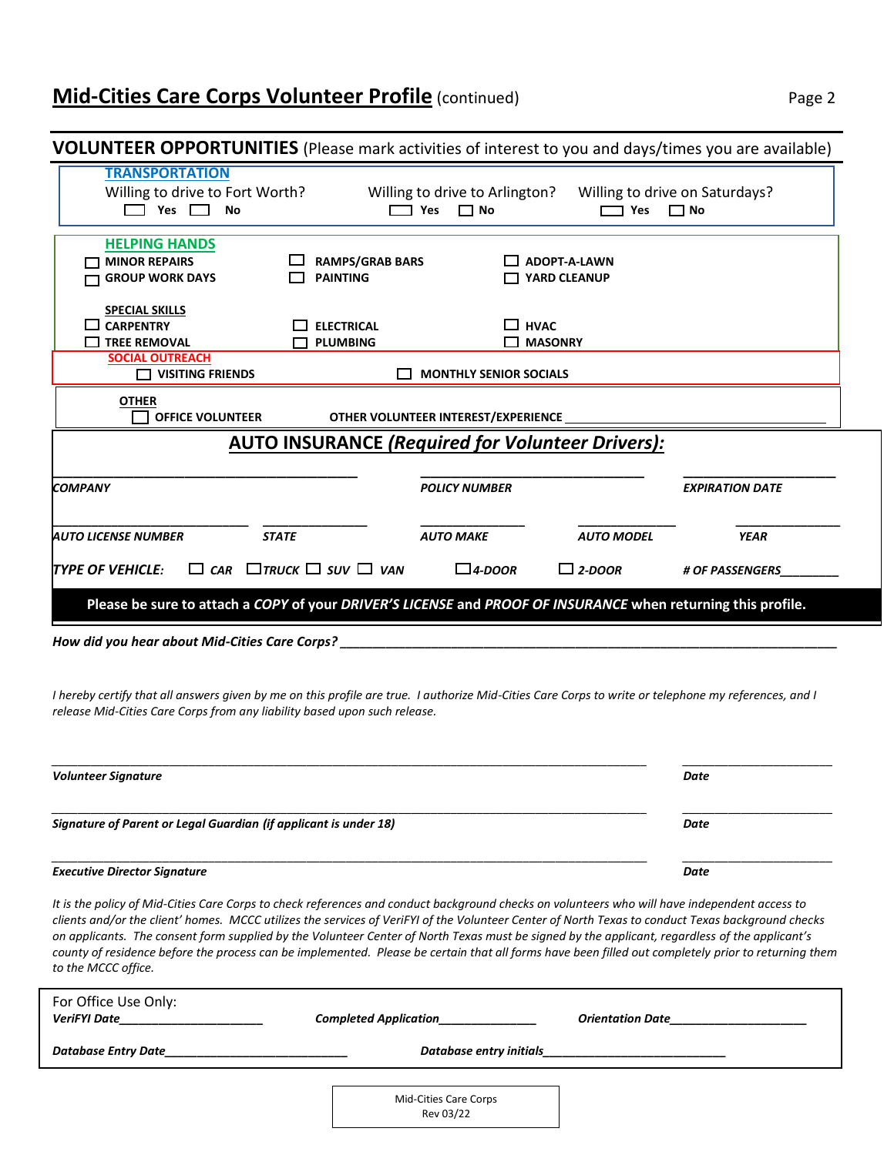## **Mid-Cities Care Corps Volunteer Profile** (continued) Page 2

## **VOLUNTEER OPPORTUNITIES** (Please mark activities of interest to you and days/times you are available) **TRANSPORTATION** Willing to drive to Fort Worth? Willing to drive to Arlington? Willing to drive on Saturdays? **Yes No Yes No Yes No HELPING HANDS MINOR REPAIRS RAMPS/GRAB BARS ADOPT-A-LAWN GROUP WORK DAYS PAINTING YARD CLEANUP SPECIAL SKILLS CARPENTRY ELECTRICAL HVAC TREE REMOVAL PLUMBING MASONRY SOCIAL OUTREACH VISITING FRIENDS MONTHLY SENIOR SOCIALS AUTO INSURANCE** *(Required for Volunteer Drivers):* \_\_\_\_\_\_\_\_\_\_\_\_\_\_\_\_\_\_\_\_\_\_\_\_\_\_\_\_\_\_ \_\_\_\_\_\_\_\_\_\_\_\_\_\_\_\_\_\_\_\_\_\_ \_\_\_\_\_\_\_\_\_\_\_\_\_\_\_ *COMPANY POLICY NUMBER EXPIRATION DATE* **\_\_\_\_\_\_\_\_\_\_\_\_\_\_\_\_\_\_\_\_\_\_\_\_\_\_\_\_\_\_ \_\_\_\_\_\_\_\_\_\_\_\_\_\_\_\_ \_\_\_\_\_\_\_\_\_\_\_\_\_\_\_\_ \_\_\_\_\_\_\_\_\_\_\_\_\_\_\_ \_\_\_\_\_\_\_\_\_\_\_\_\_\_\_\_** *AUTO LICENSE NUMBER STATE AUTO MAKE AUTO MODEL YEAR TYPE OF VEHICLE: CAR TRUCK SUV VAN 4-DOOR 2-DOOR # OF PASSENGERS\_\_\_\_\_\_\_\_\_* **Please be sure to attach a** *COPY* **of your** *DRIVER'S LICENSE* **and** *PROOF OF INSURANCE* **when returning this profile. OTHER OFFICE VOLUNTEER OTHER VOLUNTEER INTEREST/EXPERIENCE**

*How did you hear about Mid-Cities Care Corps? \_\_\_\_\_\_\_\_\_\_\_\_\_\_\_\_\_\_\_\_\_\_\_\_\_\_\_\_\_\_\_\_\_\_\_\_\_\_\_\_\_\_\_\_\_\_\_\_\_\_\_\_\_\_\_\_\_\_\_\_\_\_\_\_\_\_\_\_\_\_\_\_\_\_\_\_*

*I hereby certify that all answers given by me on this profile are true. I authorize Mid-Cities Care Corps to write or telephone my references, and I release Mid-Cities Care Corps from any liability based upon such release.*

| <b>Volunteer Signature</b>                                       | Date |
|------------------------------------------------------------------|------|
| Signature of Parent or Legal Guardian (if applicant is under 18) | Date |
| <b>Executive Director Signature</b>                              | Date |

*It is the policy of Mid-Cities Care Corps to check references and conduct background checks on volunteers who will have independent access to clients and/or the client' homes. MCCC utilizes the services of VeriFYI of the Volunteer Center of North Texas to conduct Texas background checks on applicants. The consent form supplied by the Volunteer Center of North Texas must be signed by the applicant, regardless of the applicant's county of residence before the process can be implemented. Please be certain that all forms have been filled out completely prior to returning them to the MCCC office.*

| For Office Use Only:<br><b>VeriFYI Date</b> | <b>Completed Application_</b> | <b>Orientation Date</b> |
|---------------------------------------------|-------------------------------|-------------------------|
| Database Entry Date                         | Database entry initials       |                         |
|                                             | Mid-Cities Care Corps         |                         |

Rev 03/22